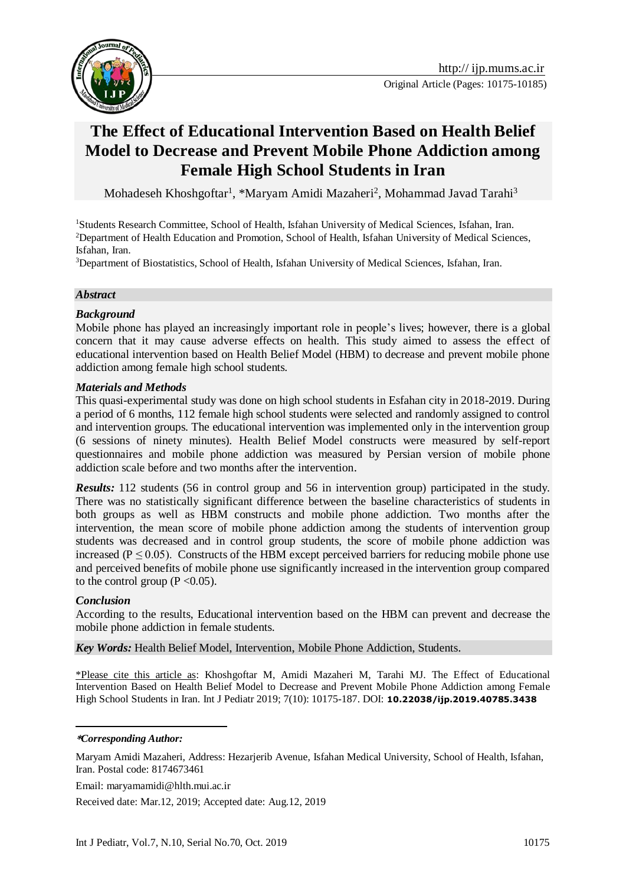

# **The Effect of Educational Intervention Based on Health Belief Model to Decrease and Prevent Mobile Phone Addiction among Female High School Students in Iran**

Mohadeseh Khoshgoftar<sup>1</sup>, \*Maryam Amidi Mazaheri<sup>2</sup>, Mohammad Javad Tarahi<sup>3</sup>

<sup>1</sup>Students Research Committee, School of Health, Isfahan University of Medical Sciences, Isfahan, Iran. <sup>2</sup>Department of Health Education and Promotion, School of Health, Isfahan University of Medical Sciences, Isfahan, Iran.

<sup>3</sup>Department of Biostatistics, School of Health, Isfahan University of Medical Sciences, Isfahan, Iran.

#### *Abstract*

#### *Background*

Mobile phone has played an increasingly important role in people's lives; however, there is a global concern that it may cause adverse effects on health. This study aimed to assess the effect of educational intervention based on Health Belief Model (HBM) to decrease and prevent mobile phone addiction among female high school students.

#### *Materials and Methods*

This quasi-experimental study was done on high school students in Esfahan city in 2018-2019. During a period of 6 months, 112 female high school students were selected and randomly assigned to control and intervention groups. The educational intervention was implemented only in the intervention group (6 sessions of ninety minutes). Health Belief Model constructs were measured by self-report questionnaires and mobile phone addiction was measured by Persian version of mobile phone addiction scale before and two months after the intervention.

*Results:* 112 students (56 in control group and 56 in intervention group) participated in the study. There was no statistically significant difference between the baseline characteristics of students in both groups as well as HBM constructs and mobile phone addiction. Two months after the intervention, the mean score of mobile phone addiction among the students of intervention group students was decreased and in control group students, the score of mobile phone addiction was increased ( $P \le 0.05$ ). Constructs of the HBM except perceived barriers for reducing mobile phone use and perceived benefits of mobile phone use significantly increased in the intervention group compared to the control group ( $P \le 0.05$ ).

### *Conclusion*

According to the results, Educational intervention based on the HBM can prevent and decrease the mobile phone addiction in female students.

*Key Words:* Health Belief Model, Intervention, Mobile Phone Addiction, Students.

\*Please cite this article as: Khoshgoftar M, Amidi Mazaheri M, Tarahi MJ. The Effect of Educational Intervention Based on Health Belief Model to Decrease and Prevent Mobile Phone Addiction among Female High School Students in Iran. Int J Pediatr 2019; 7(10): 10175-187. DOI: **10.22038/ijp.2019.40785.3438**

#### -**\****Corresponding Author:*

Maryam Amidi Mazaheri, Address: Hezarjerib Avenue, Isfahan Medical University, School of Health, Isfahan, Iran. Postal code: 8174673461

Email: maryamamidi@hlth.mui.ac.ir

Received date: Mar.12, 2019; Accepted date: Aug.12, 2019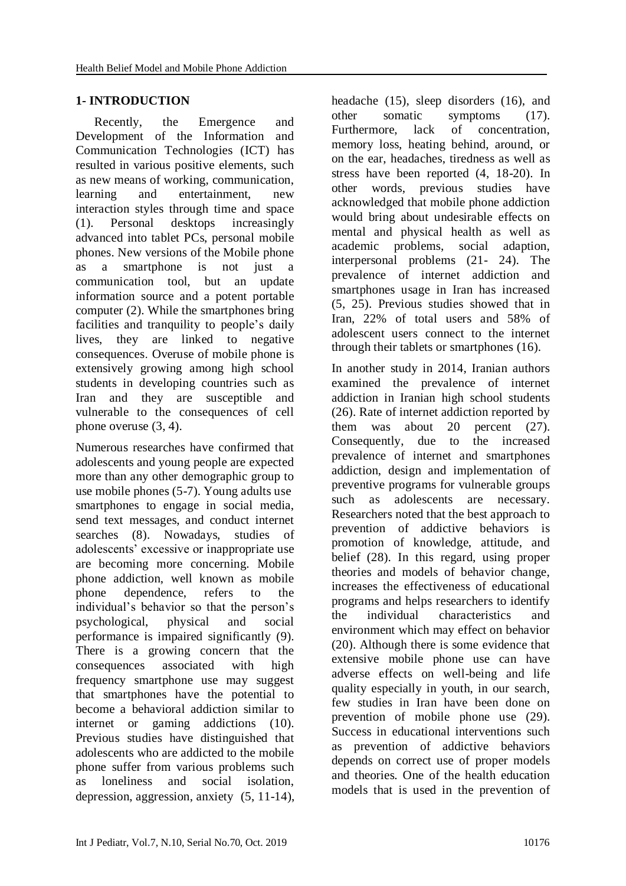## **1- INTRODUCTION**

 Recently, the Emergence and Development of the Information and Communication Technologies (ICT) has resulted in various positive elements, such as new means of working, communication, learning and entertainment, new interaction styles through time and space [\(1\)](#page-10-0). Personal desktops increasingly advanced into tablet PCs, personal mobile phones. New versions of the Mobile phone as a smartphone is not just a communication tool, but an update information source and a potent portable computer [\(2\)](#page-10-1). While the smartphones bring facilities and tranquility to people's daily lives, they are linked to negative consequences. Overuse of mobile phone is extensively growing among high school students in developing countries such as Iran and they are susceptible and vulnerable to the consequences of cell phone overuse [\(3,](#page-10-2) [4\)](#page-10-3).

Numerous researches have confirmed that adolescents and young people are expected more than any other demographic group to use mobile phones [\(5-7\)](#page-10-4). Young adults use smartphones to engage in social media, send text messages, and conduct internet searches [\(8\)](#page-10-5). Nowadays, studies of adolescents' excessive or inappropriate use are becoming more concerning. Mobile phone addiction, well known as mobile phone dependence, refers to the individual's behavior so that the person's psychological, physical and social performance is impaired significantly [\(9\)](#page-10-6). There is a growing concern that the consequences associated with high frequency smartphone use may suggest that smartphones have the potential to become a behavioral addiction similar to internet or gaming addictions [\(10\)](#page-10-7). Previous studies have distinguished that adolescents who are addicted to the mobile phone suffer from various problems such as loneliness and social isolation, depression, aggression, anxiety (5, 11-14), headache [\(15\)](#page-11-0), sleep disorders [\(16\)](#page-11-1), and other somatic symptoms [\(17\)](#page-11-2). Furthermore, lack of concentration, memory loss, heating behind, around, or on the ear, headaches, tiredness as well as stress have been reported (4, 18-20). In other words, previous studies have acknowledged that mobile phone addiction would bring about undesirable effects on mental and physical health as well as academic problems, social adaption, interpersonal problems (21- 24). The prevalence of internet addiction and smartphones usage in Iran has increased [\(5,](#page-10-4) [25\)](#page-11-3). Previous studies showed that in Iran, 22% of total users and 58% of adolescent users connect to the internet through their tablets or smartphones [\(16\)](#page-11-1).

In another study in 2014, Iranian authors examined the prevalence of internet addiction in Iranian high school students [\(26\)](#page-11-4). Rate of internet addiction reported by them was about 20 percent [\(27\)](#page-11-5). Consequently, due to the increased prevalence of internet and smartphones addiction, design and implementation of preventive programs for vulnerable groups such as adolescents are necessary. Researchers noted that the best approach to prevention of addictive behaviors is promotion of knowledge, attitude, and belief [\(28\)](#page-11-6). In this regard, using proper theories and models of behavior change, increases the effectiveness of educational programs and helps researchers to identify the individual characteristics and environment which may effect on behavior [\(20\)](#page-11-7). Although there is some evidence that extensive mobile phone use can have adverse effects on well-being and life quality especially in youth, in our search, few studies in Iran have been done on prevention of mobile phone use [\(29\)](#page-12-0). Success in educational interventions such as prevention of addictive behaviors depends on correct use of proper models and theories. One of the health education models that is used in the prevention of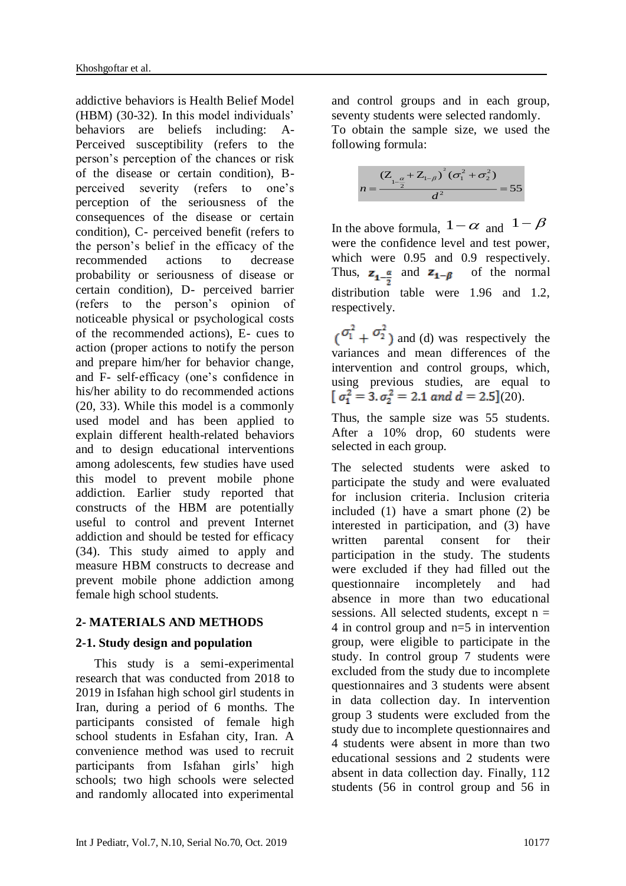addictive behaviors is Health Belief Model (HBM) [\(30-32\)](#page-12-1). In this model individuals' behaviors are beliefs including: A-Perceived susceptibility (refers to the person's perception of the chances or risk of the disease or certain condition), Bperceived severity (refers to one's perception of the seriousness of the consequences of the disease or certain condition), C- perceived benefit (refers to the person's belief in the efficacy of the recommended actions to decrease probability or seriousness of disease or certain condition), D- perceived barrier (refers to the person's opinion of noticeable physical or psychological costs of the recommended actions), E- cues to action (proper actions to notify the person and prepare him/her for behavior change, and F- self‑efficacy (one's confidence in his/her ability to do recommended actions [\(20,](#page-11-7) [33\)](#page-12-2). While this model is a commonly used model and has been applied to explain different health-related behaviors and to design educational interventions among adolescents, few studies have used this model to prevent mobile phone addiction. Earlier study reported that constructs of the HBM are potentially useful to control and prevent Internet addiction and should be tested for efficacy [\(34\)](#page-12-3). This study aimed to apply and measure HBM constructs to decrease and prevent mobile phone addiction among female high school students.

### **2- MATERIALS AND METHODS**

### **2-1. Study design and population**

 This study is a semi-experimental research that was conducted from 2018 to 2019 in Isfahan high school girl students in Iran, during a period of 6 months. The participants consisted of female high school students in Esfahan city, Iran. A convenience method was used to recruit participants from Isfahan girls' high schools; two high schools were selected and randomly allocated into experimental

and control groups and in each group, seventy students were selected randomly. To obtain the sample size, we used the following formula:

$$
n = \frac{(Z_{1-\frac{\alpha}{2}} + Z_{1-\beta})^2 (\sigma_1^2 + \sigma_2^2)}{d^2} = 55
$$

In the above formula,  $1-\alpha$  and  $1-\beta$ were the confidence level and test power, which were 0.95 and 0.9 respectively. Thus,  $z_{1-\frac{\alpha}{2}}$  and  $z_{1-\beta}$  of the normal distribution table were 1.96 and 1.2, respectively.

 $(\sigma_1^2 + \sigma_2^2)$  and (d) was respectively the variances and mean differences of the intervention and control groups, which, using previous studies, are equal to  $\sigma_1^2 = 3$ ,  $\sigma_2^2 = 2.1$  and  $d = 2.5$ ][\(20\)](#page-11-7).

Thus, the sample size was 55 students. After a 10% drop, 60 students were selected in each group.

The selected students were asked to participate the study and were evaluated for inclusion criteria. Inclusion criteria included (1) have a smart phone (2) be interested in participation, and (3) have written parental consent for their participation in the study. The students were excluded if they had filled out the questionnaire incompletely and had absence in more than two educational sessions. All selected students, except  $n =$ 4 in control group and n=5 in intervention group, were eligible to participate in the study. In control group 7 students were excluded from the study due to incomplete questionnaires and 3 students were absent in data collection day. In intervention group 3 students were excluded from the study due to incomplete questionnaires and 4 students were absent in more than two educational sessions and 2 students were absent in data collection day. Finally, 112 students (56 in control group and 56 in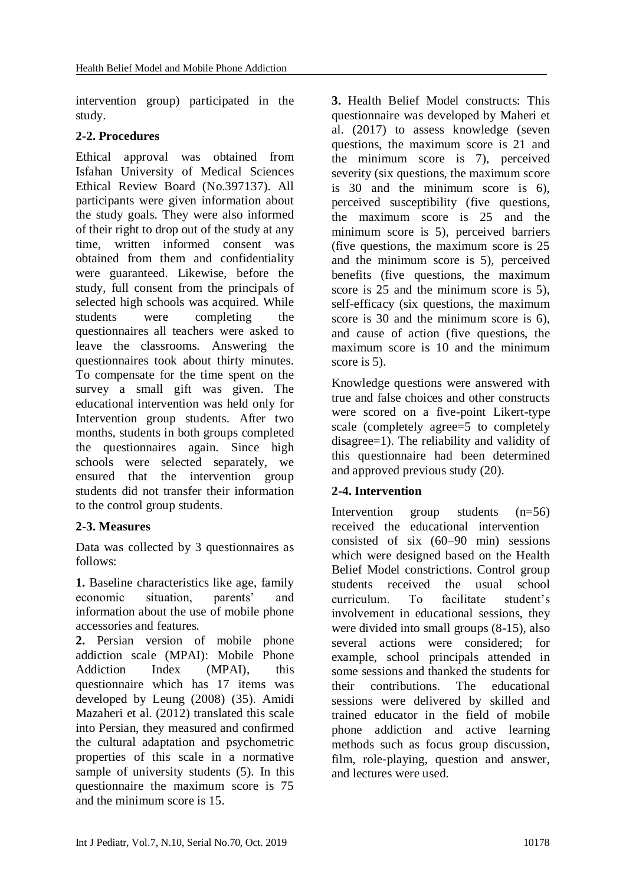intervention group) participated in the study.

### **2-2. Procedures**

Ethical approval was obtained from Isfahan University of Medical Sciences Ethical Review Board (No.397137). All participants were given information about the study goals. They were also informed of their right to drop out of the study at any time, written informed consent was obtained from them and confidentiality were guaranteed. Likewise, before the study, full consent from the principals of selected high schools was acquired. While students were completing the questionnaires all teachers were asked to leave the classrooms. Answering the questionnaires took about thirty minutes. To compensate for the time spent on the survey a small gift was given. The educational intervention was held only for Intervention group students. After two months, students in both groups completed the questionnaires again. Since high schools were selected separately, we ensured that the intervention group students did not transfer their information to the control group students.

# **2-3. Measures**

Data was collected by 3 questionnaires as follows:

**1.** Baseline characteristics like age, family economic situation, parents' and information about the use of mobile phone accessories and features.

**2.** Persian version of mobile phone addiction scale (MPAI): Mobile Phone Addiction Index (MPAI), this questionnaire which has 17 items was developed by Leung (2008) [\(35\)](#page-12-4). Amidi Mazaheri et al. (2012) translated this scale into Persian, they measured and confirmed the cultural adaptation and psychometric properties of this scale in a normative sample of university students [\(5\)](#page-10-4). In this questionnaire the maximum score is 75 and the minimum score is 15.

**3.** Health Belief Model constructs: This questionnaire was developed by Maheri et al. (2017) to assess knowledge (seven questions, the maximum score is 21 and the minimum score is 7), perceived severity (six questions, the maximum score is 30 and the minimum score is 6), perceived susceptibility (five questions, the maximum score is 25 and the minimum score is 5), perceived barriers (five questions, the maximum score is 25 and the minimum score is 5), perceived benefits (five questions, the maximum score is 25 and the minimum score is 5). self-efficacy (six questions, the maximum score is 30 and the minimum score is 6), and cause of action (five questions, the maximum score is 10 and the minimum score is 5).

Knowledge questions were answered with true and false choices and other constructs were scored on a five-point Likert-type scale (completely agree=5 to completely disagree=1). The reliability and validity of this questionnaire had been determined and approved previous study [\(20\)](#page-11-7).

# **2-4. Intervention**

Intervention group students (n=56) received the educational intervention consisted of six (60–90 min) sessions which were designed based on the Health Belief Model constrictions. Control group students received the usual school curriculum. To facilitate student's involvement in educational sessions, they were divided into small groups (8-15), also several actions were considered; for example, school principals attended in some sessions and thanked the students for their contributions. The educational sessions were delivered by skilled and trained educator in the field of mobile phone addiction and active learning methods such as focus group discussion, film, role-playing, question and answer, and lectures were used.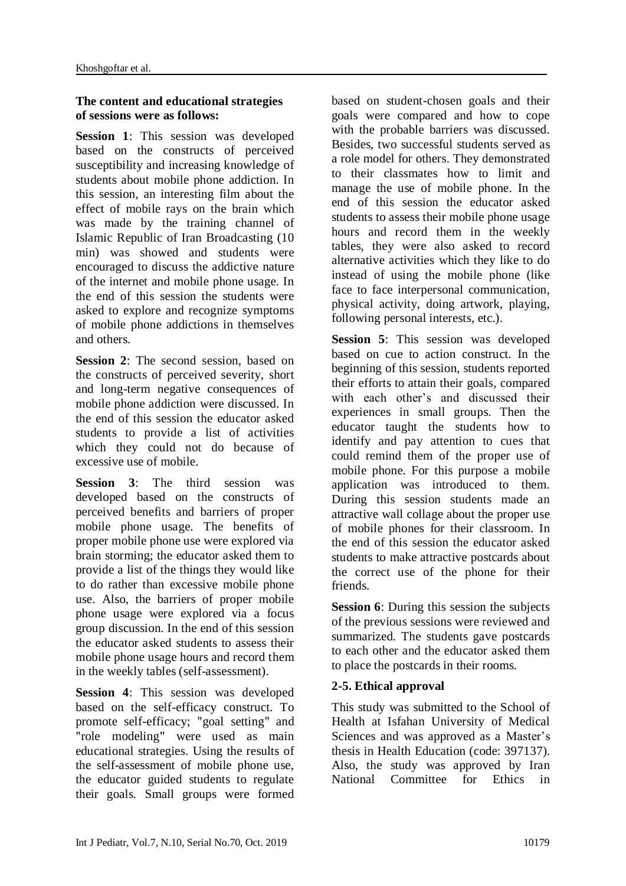### **The content and educational strategies of sessions were as follows:**

**Session 1**: This session was developed based on the constructs of perceived susceptibility and increasing knowledge of students about mobile phone addiction. In this session, an interesting film about the effect of mobile rays on the brain which was made by the training channel of Islamic Republic of Iran Broadcasting (10 min) was showed and students were encouraged to discuss the addictive nature of the internet and mobile phone usage. In the end of this session the students were asked to explore and recognize symptoms of mobile phone addictions in themselves and others.

**Session 2**: The second session, based on the constructs of perceived severity, short and long-term negative consequences of mobile phone addiction were discussed. In the end of this session the educator asked students to provide a list of activities which they could not do because of excessive use of mobile.

**Session 3**: The third session was developed based on the constructs of perceived benefits and barriers of proper mobile phone usage. The benefits of proper mobile phone use were explored via brain storming; the educator asked them to provide a list of the things they would like to do rather than excessive mobile phone use. Also, the barriers of proper mobile phone usage were explored via a focus group discussion. In the end of this session the educator asked students to assess their mobile phone usage hours and record them in the weekly tables (self-assessment).

**Session 4**: This session was developed based on the self-efficacy construct. To promote self-efficacy; "goal setting" and "role modeling" were used as main educational strategies. Using the results of the self-assessment of mobile phone use, the educator guided students to regulate their goals. Small groups were formed

based on student-chosen goals and their goals were compared and how to cope with the probable barriers was discussed. Besides, two successful students served as a role model for others. They demonstrated to their classmates how to limit and manage the use of mobile phone. In the end of this session the educator asked students to assess their mobile phone usage hours and record them in the weekly tables, they were also asked to record alternative activities which they like to do instead of using the mobile phone (like face to face interpersonal communication, physical activity, doing artwork, playing, following personal interests, etc.).

**Session 5**: This session was developed based on cue to action construct. In the beginning of this session, students reported their efforts to attain their goals, compared with each other's and discussed their experiences in small groups. Then the educator taught the students how to identify and pay attention to cues that could remind them of the proper use of mobile phone. For this purpose a mobile application was introduced to them. During this session students made an attractive wall collage about the proper use of mobile phones for their classroom. In the end of this session the educator asked students to make attractive postcards about the correct use of the phone for their friends.

**Session 6**: During this session the subjects of the previous sessions were reviewed and summarized. The students gave postcards to each other and the educator asked them to place the postcards in their rooms.

### **2-5. Ethical approval**

This study was submitted to the School of Health at Isfahan University of Medical Sciences and was approved as a Master's thesis in Health Education (code: 397137). Also, the study was approved by Iran National Committee for Ethics in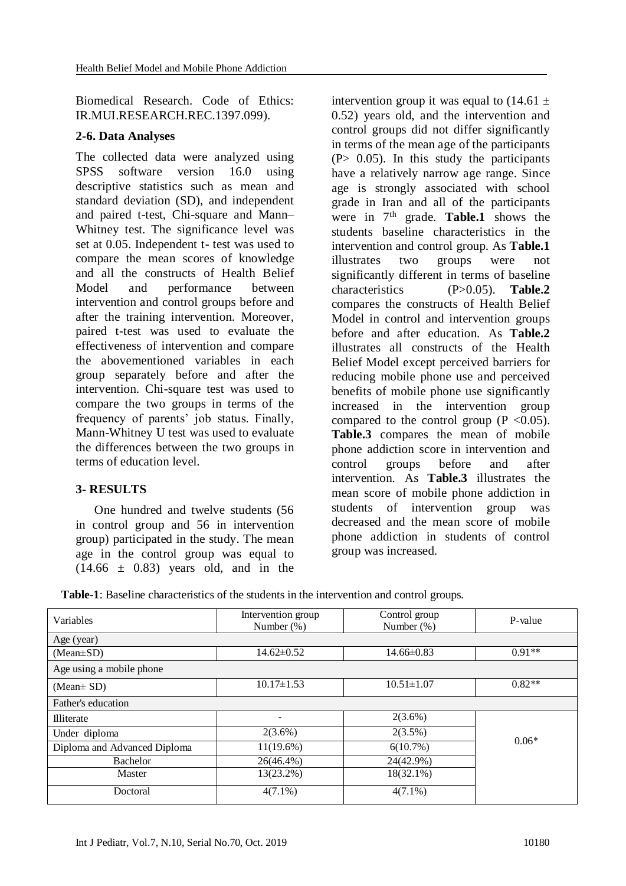Biomedical Research. Code of Ethics: IR.MUI.RESEARCH.REC.1397.099).

### **2-6. Data Analyses**

The collected data were analyzed using SPSS software version 16.0 using descriptive statistics such as mean and standard deviation (SD), and independent and paired t-test, Chi-square and Mann– Whitney test. The significance level was set at 0.05. Independent t- test was used to compare the mean scores of knowledge and all the constructs of Health Belief Model and performance between intervention and control groups before and after the training intervention. Moreover, paired t-test was used to evaluate the effectiveness of intervention and compare the abovementioned variables in each group separately before and after the intervention. Chi-square test was used to compare the two groups in terms of the frequency of parents' job status. Finally, Mann-Whitney U test was used to evaluate the differences between the two groups in terms of education level.

### **3- RESULTS**

 One hundred and twelve students (56 in control group and 56 in intervention group) participated in the study. The mean age in the control group was equal to  $(14.66 \pm 0.83)$  years old, and in the

intervention group it was equal to  $(14.61 \pm$ 0.52) years old, and the intervention and control groups did not differ significantly in terms of the mean age of the participants  $(P> 0.05)$ . In this study the participants have a relatively narrow age range. Since age is strongly associated with school grade in Iran and all of the participants were in 7<sup>th</sup> grade. **Table.1** shows the students baseline characteristics in the intervention and control group. As **Table.1** illustrates two groups were not significantly different in terms of baseline characteristics (P>0.05). **Table.2** compares the constructs of Health Belief Model in control and intervention groups before and after education. As **Table.2** illustrates all constructs of the Health Belief Model except perceived barriers for reducing mobile phone use and perceived benefits of mobile phone use significantly increased in the intervention group compared to the control group ( $P < 0.05$ ). **Table.3** compares the mean of mobile phone addiction score in intervention and control groups before and after intervention. As **Table.3** illustrates the mean score of mobile phone addiction in students of intervention group was decreased and the mean score of mobile phone addiction in students of control group was increased.

**Table-1**: Baseline characteristics of the students in the intervention and control groups.

|                              | Control group                       |                  |          |
|------------------------------|-------------------------------------|------------------|----------|
| Variables                    | Intervention group<br>Number $(\%)$ | Number $(\%)$    | P-value  |
| Age (year)                   |                                     |                  |          |
| $(Mean \pm SD)$              | $14.62 \pm 0.52$                    | $14.66 \pm 0.83$ | $0.91**$ |
| Age using a mobile phone     |                                     |                  |          |
| (Mean $\pm$ SD)              | $10.17 \pm 1.53$                    | $10.51 \pm 1.07$ | $0.82**$ |
| Father's education           |                                     |                  |          |
| <b>Illiterate</b>            | $\overline{\phantom{0}}$            | $2(3.6\%)$       |          |
| Under diploma                | $2(3.6\%)$                          | 2(3.5%)          | $0.06*$  |
| Diploma and Advanced Diploma | $11(19.6\%)$                        | 6(10.7%)         |          |
| <b>Bachelor</b>              | 26(46.4%)                           | 24(42.9%)        |          |
| Master                       | 13(23.2%)                           | 18(32.1%)        |          |
| Doctoral                     | $4(7.1\%)$                          | $4(7.1\%)$       |          |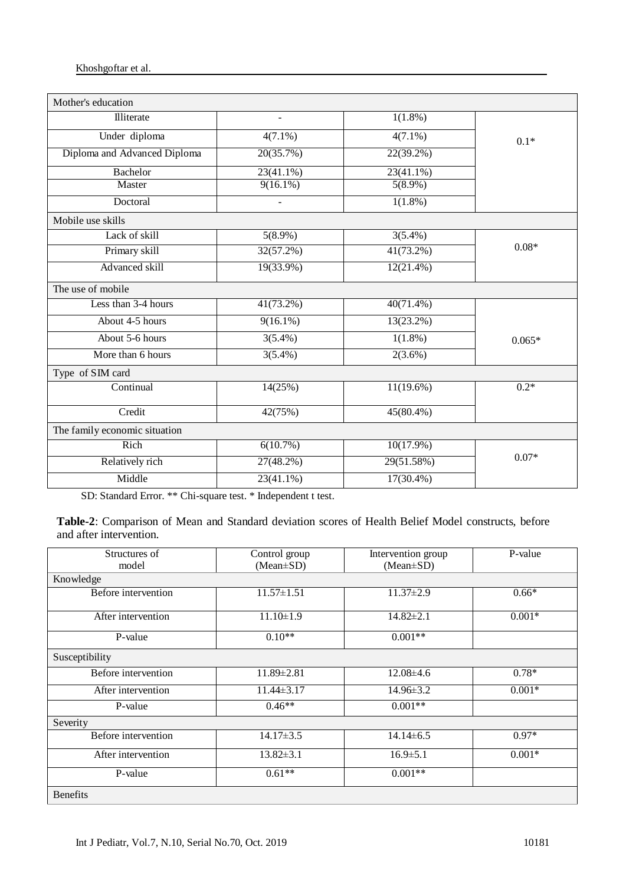#### Khoshgoftar et al.

| Mother's education            |              |              |          |
|-------------------------------|--------------|--------------|----------|
| Illiterate                    |              | $1(1.8\%)$   |          |
| Under diploma                 | $4(7.1\%)$   | $4(7.1\%)$   | $0.1*$   |
| Diploma and Advanced Diploma  | 20(35.7%)    | 22(39.2%)    |          |
| <b>Bachelor</b>               | 23(41.1%)    | 23(41.1%)    |          |
| Master                        | $9(16.1\%)$  | $5(8.9\%)$   |          |
| Doctoral                      |              | $1(1.8\%)$   |          |
| Mobile use skills             |              |              |          |
| Lack of skill                 | $5(8.9\%)$   | $3(5.4\%)$   |          |
| Primary skill                 | 32(57.2%)    | 41(73.2%)    | $0.08*$  |
| Advanced skill                | $19(33.9\%)$ | $12(21.4\%)$ |          |
| The use of mobile             |              |              |          |
| Less than 3-4 hours           | 41(73.2%)    | $40(71.4\%)$ |          |
| About 4-5 hours               | $9(16.1\%)$  | 13(23.2%)    |          |
| About 5-6 hours               | $3(5.4\%)$   | $1(1.8\%)$   | $0.065*$ |
| More than 6 hours             | $3(5.4\%)$   | $2(3.6\%)$   |          |
| Type of SIM card              |              |              |          |
| Continual                     | 14(25%)      | $11(19.6\%)$ | $0.2*$   |
| Credit                        | 42(75%)      | 45(80.4%)    |          |
| The family economic situation |              |              |          |
| Rich                          | 6(10.7%)     | $10(17.9\%)$ |          |
| Relatively rich               | 27(48.2%)    | 29(51.58%)   | $0.07*$  |
| Middle                        | $23(41.1\%)$ | $17(30.4\%)$ |          |

SD: Standard Error. \*\* Chi-square test. \* Independent t test.

**Table-2**: Comparison of Mean and Standard deviation scores of Health Belief Model constructs, before and after intervention.

| Structures of       | Control group    | Intervention group | P-value  |
|---------------------|------------------|--------------------|----------|
| model               | $(Mean \pm SD)$  | $(Mean \pm SD)$    |          |
| Knowledge           |                  |                    |          |
| Before intervention | $11.57 \pm 1.51$ | $11.37 \pm 2.9$    | $0.66*$  |
| After intervention  | $11.10 \pm 1.9$  | $14.82 \pm 2.1$    | $0.001*$ |
| P-value             | $0.10**$         | $0.001**$          |          |
| Susceptibility      |                  |                    |          |
| Before intervention | $11.89 \pm 2.81$ | $12.08\pm4.6$      | $0.78*$  |
| After intervention  | $11.44\pm3.17$   | $14.96 \pm 3.2$    | $0.001*$ |
| P-value             | $0.46**$         | $0.001**$          |          |
| Severity            |                  |                    |          |
| Before intervention | $14.17 \pm 3.5$  | $14.14\pm 6.5$     | $0.97*$  |
| After intervention  | $13.82 \pm 3.1$  | $16.9 \pm 5.1$     | $0.001*$ |
| P-value             | $0.61**$         | $0.001**$          |          |
| <b>Benefits</b>     |                  |                    |          |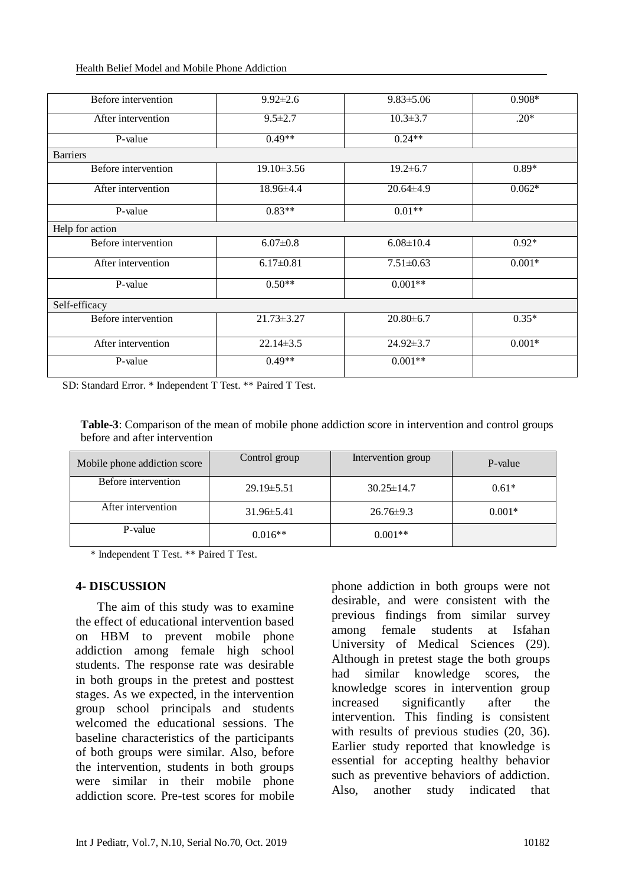#### Health Belief Model and Mobile Phone Addiction

| Before intervention | $9.92 \pm 2.6$   | $9.83 \pm 5.06$ | $0.908*$ |
|---------------------|------------------|-----------------|----------|
|                     |                  |                 |          |
| After intervention  | $9.5 \pm 2.7$    | $10.3 \pm 3.7$  | $.20*$   |
|                     |                  |                 |          |
| P-value             | $0.49**$         | $0.24**$        |          |
| <b>Barriers</b>     |                  |                 |          |
| Before intervention | 19.10 ± 3.56     | $19.2 \pm 6.7$  | $0.89*$  |
| After intervention  | 18.96±4.4        | $20.64 \pm 4.9$ | $0.062*$ |
| P-value             | $0.83**$         | $0.01**$        |          |
| Help for action     |                  |                 |          |
| Before intervention | $6.07 \pm 0.8$   | $6.08 \pm 10.4$ | $0.92*$  |
| After intervention  | $6.17 \pm 0.81$  | $7.51 \pm 0.63$ | $0.001*$ |
| P-value             | $0.50**$         | $0.001**$       |          |
| Self-efficacy       |                  |                 |          |
| Before intervention | $21.73 \pm 3.27$ | $20.80 \pm 6.7$ | $0.35*$  |
| After intervention  | $22.14 \pm 3.5$  | $24.92 \pm 3.7$ | $0.001*$ |
| P-value             | $0.49**$         | $0.001**$       |          |

SD: Standard Error. \* Independent T Test. \*\* Paired T Test.

**Table-3**: Comparison of the mean of mobile phone addiction score in intervention and control groups before and after intervention

| Mobile phone addiction score | Control group    | Intervention group | P-value  |
|------------------------------|------------------|--------------------|----------|
| Before intervention          | $29.19 \pm 5.51$ | $30.25 \pm 14.7$   | $0.61*$  |
| After intervention           | $31.96 \pm 5.41$ | $26.76 \pm 9.3$    | $0.001*$ |
| P-value                      | $0.016**$        | $0.001**$          |          |

\* Independent T Test. \*\* Paired T Test.

### **4- DISCUSSION**

 The aim of this study was to examine the effect of educational intervention based on HBM to prevent mobile phone addiction among female high school students. The response rate was desirable in both groups in the pretest and posttest stages. As we expected, in the intervention group school principals and students welcomed the educational sessions. The baseline characteristics of the participants of both groups were similar. Also, before the intervention, students in both groups were similar in their mobile phone addiction score. Pre-test scores for mobile

phone addiction in both groups were not desirable, and were consistent with the previous findings from similar survey among female students at Isfahan University of Medical Sciences [\(29\)](#page-12-0). Although in pretest stage the both groups had similar knowledge scores, the knowledge scores in intervention group increased significantly after the intervention. This finding is consistent with results of previous studies  $(20, 36)$  $(20, 36)$  $(20, 36)$ . Earlier study reported that knowledge is essential for accepting healthy behavior such as preventive behaviors of addiction. Also, another study indicated that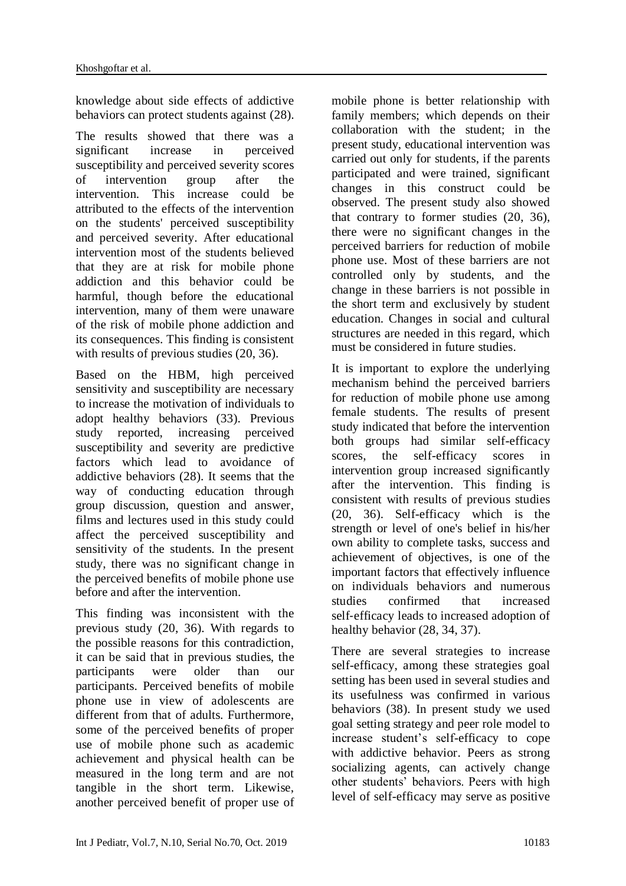knowledge about side effects of addictive behaviors can protect students against [\(28\)](#page-11-6).

The results showed that there was a significant increase in perceived susceptibility and perceived severity scores of intervention group after the intervention. This increase could be attributed to the effects of the intervention on the students' perceived susceptibility and perceived severity. After educational intervention most of the students believed that they are at risk for mobile phone addiction and this behavior could be harmful, though before the educational intervention, many of them were unaware of the risk of mobile phone addiction and its consequences. This finding is consistent with results of previous studies [\(20,](#page-11-7) [36\)](#page-12-5).

Based on the HBM, high perceived sensitivity and susceptibility are necessary to increase the motivation of individuals to adopt healthy behaviors (33). Previous study reported, increasing perceived susceptibility and severity are predictive factors which lead to avoidance of addictive behaviors [\(28\)](#page-11-6). It seems that the way of conducting education through group discussion, question and answer, films and lectures used in this study could affect the perceived susceptibility and sensitivity of the students. In the present study, there was no significant change in the perceived benefits of mobile phone use before and after the intervention.

This finding was inconsistent with the previous study [\(20,](#page-11-7) [36\)](#page-12-5). With regards to the possible reasons for this contradiction, it can be said that in previous studies, the participants were older than our participants. Perceived benefits of mobile phone use in view of adolescents are different from that of adults. Furthermore, some of the perceived benefits of proper use of mobile phone such as academic achievement and physical health can be measured in the long term and are not tangible in the short term. Likewise, another perceived benefit of proper use of

mobile phone is better relationship with family members; which depends on their collaboration with the student; in the present study, educational intervention was carried out only for students, if the parents participated and were trained, significant changes in this construct could be observed. The present study also showed that contrary to former studies [\(20,](#page-11-7) [36\)](#page-12-5), there were no significant changes in the perceived barriers for reduction of mobile phone use. Most of these barriers are not controlled only by students, and the change in these barriers is not possible in the short term and exclusively by student education. Changes in social and cultural structures are needed in this regard, which must be considered in future studies.

It is important to explore the underlying mechanism behind the perceived barriers for reduction of mobile phone use among female students. The results of present study indicated that before the intervention both groups had similar self-efficacy scores, the self-efficacy scores in intervention group increased significantly after the intervention. This finding is consistent with results of previous studies [\(20,](#page-11-7) [36\)](#page-12-5). Self-efficacy which is the strength or level of one's belief in his/her own ability to complete tasks, success and achievement of objectives, is one of the important factors that effectively influence on individuals behaviors and numerous studies confirmed that increased self-efficacy leads to increased adoption of healthy behavior [\(28,](#page-11-6) [34,](#page-12-3) [37\)](#page-12-6).

There are several strategies to increase self-efficacy, among these strategies goal setting has been used in several studies and its usefulness was confirmed in various behaviors [\(38\)](#page-12-7). In present study we used goal setting strategy and peer role model to increase student's self-efficacy to cope with addictive behavior. Peers as strong socializing agents, can actively change other students' behaviors. Peers with high level of self-efficacy may serve as positive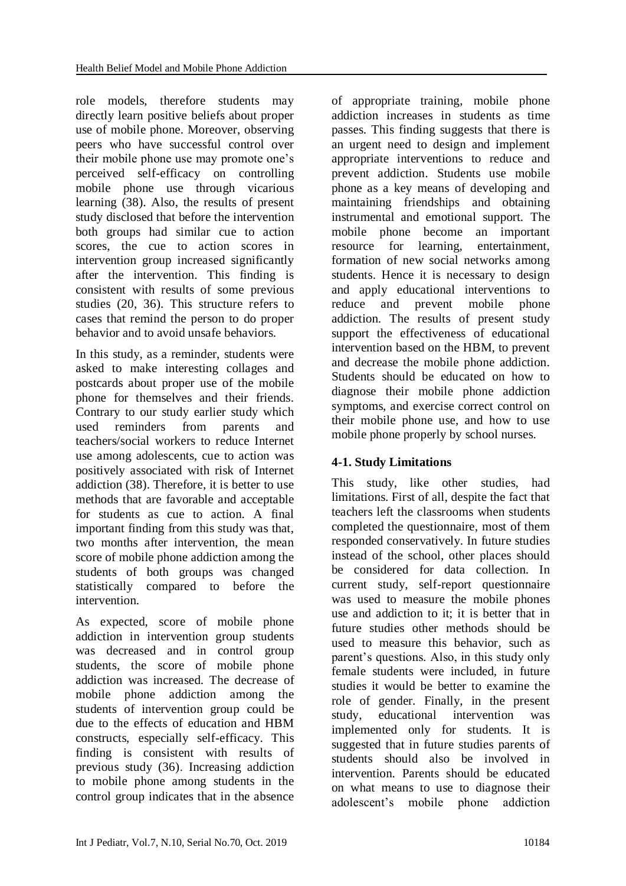role models, therefore students may directly learn positive beliefs about proper use of mobile phone. Moreover, observing peers who have successful control over their mobile phone use may promote one's perceived self-efficacy on controlling mobile phone use through vicarious learning (38). Also, the results of present study disclosed that before the intervention both groups had similar cue to action scores, the cue to action scores in intervention group increased significantly after the intervention. This finding is consistent with results of some previous studies [\(20,](#page-11-7) [36\)](#page-12-5). This structure refers to cases that remind the person to do proper behavior and to avoid unsafe behaviors.

In this study, as a reminder, students were asked to make interesting collages and postcards about proper use of the mobile phone for themselves and their friends. Contrary to our study earlier study which used reminders from parents and teachers/social workers to reduce Internet use among adolescents, cue to action was positively associated with risk of Internet addiction (38). Therefore, it is better to use methods that are favorable and acceptable for students as cue to action. A final important finding from this study was that, two months after intervention, the mean score of mobile phone addiction among the students of both groups was changed statistically compared to before the intervention.

As expected, score of mobile phone addiction in intervention group students was decreased and in control group students, the score of mobile phone addiction was increased. The decrease of mobile phone addiction among the students of intervention group could be due to the effects of education and HBM constructs, especially self-efficacy. This finding is consistent with results of previous study [\(36\)](#page-12-5). Increasing addiction to mobile phone among students in the control group indicates that in the absence

of appropriate training, mobile phone addiction increases in students as time passes. This finding suggests that there is an urgent need to design and implement appropriate interventions to reduce and prevent addiction. Students use mobile phone as a key means of developing and maintaining friendships and obtaining instrumental and emotional support. The mobile phone become an important resource for learning, entertainment, formation of new social networks among students. Hence it is necessary to design and apply educational interventions to reduce and prevent mobile phone addiction. The results of present study support the effectiveness of educational intervention based on the HBM, to prevent and decrease the mobile phone addiction. Students should be educated on how to diagnose their mobile phone addiction symptoms, and exercise correct control on their mobile phone use, and how to use mobile phone properly by school nurses.

# **4-1. Study Limitations**

This study, like other studies, had limitations. First of all, despite the fact that teachers left the classrooms when students completed the questionnaire, most of them responded conservatively. In future studies instead of the school, other places should be considered for data collection. In current study, self-report questionnaire was used to measure the mobile phones use and addiction to it; it is better that in future studies other methods should be used to measure this behavior, such as parent's questions. Also, in this study only female students were included, in future studies it would be better to examine the role of gender. Finally, in the present study, educational intervention was implemented only for students. It is suggested that in future studies parents of students should also be involved in intervention. Parents should be educated on what means to use to diagnose their adolescent's mobile phone addiction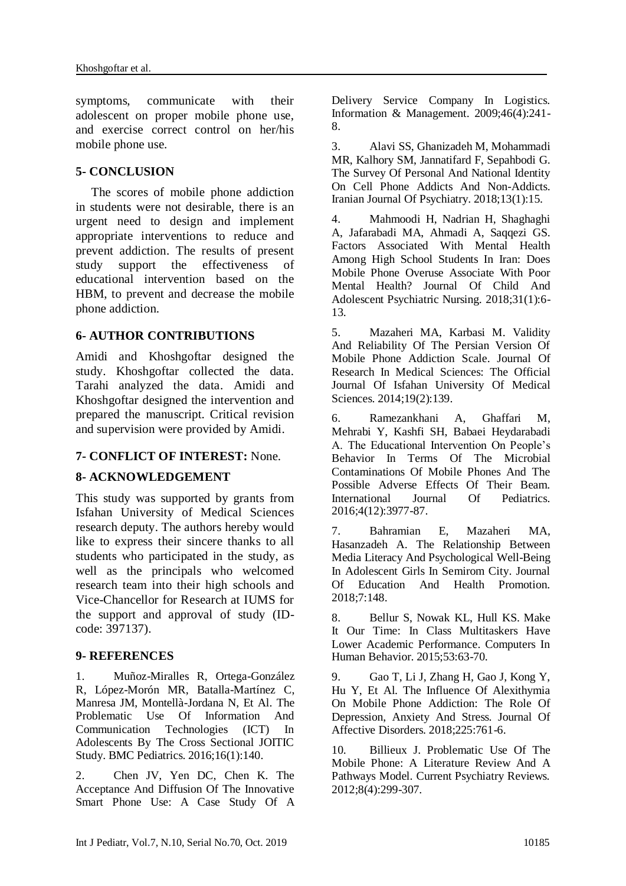symptoms, communicate with their adolescent on proper mobile phone use, and exercise correct control on her/his mobile phone use.

### **5- CONCLUSION**

 The scores of mobile phone addiction in students were not desirable, there is an urgent need to design and implement appropriate interventions to reduce and prevent addiction. The results of present study support the effectiveness of educational intervention based on the HBM, to prevent and decrease the mobile phone addiction.

### **6- AUTHOR CONTRIBUTIONS**

Amidi and Khoshgoftar designed the study. Khoshgoftar collected the data. Tarahi analyzed the data. Amidi and Khoshgoftar designed the intervention and prepared the manuscript. Critical revision and supervision were provided by Amidi.

### **7- CONFLICT OF INTEREST:** None.

### **8- ACKNOWLEDGEMENT**

This study was supported by grants from Isfahan University of Medical Sciences research deputy. The authors hereby would like to express their sincere thanks to all students who participated in the study, as well as the principals who welcomed research team into their high schools and Vice-Chancellor for Research at IUMS for the support and approval of study (IDcode: 397137).

#### <span id="page-10-0"></span>**9- REFERENCES**

1. Muñoz-Miralles R, Ortega-González R, López-Morón MR, Batalla-Martínez C, Manresa JM, Montellà-Jordana N, Et Al. The Problematic Use Of Information And Communication Technologies (ICT) In Adolescents By The Cross Sectional JOITIC Study. BMC Pediatrics. 2016;16(1):140.

<span id="page-10-1"></span>2. Chen JV, Yen DC, Chen K. The Acceptance And Diffusion Of The Innovative Smart Phone Use: A Case Study Of A Delivery Service Company In Logistics. Information & Management. 2009;46(4):241- 8.

<span id="page-10-2"></span>3. Alavi SS, Ghanizadeh M, Mohammadi MR, Kalhory SM, Jannatifard F, Sepahbodi G. The Survey Of Personal And National Identity On Cell Phone Addicts And Non-Addicts. Iranian Journal Of Psychiatry. 2018;13(1):15.

<span id="page-10-3"></span>4. Mahmoodi H, Nadrian H, Shaghaghi A, Jafarabadi MA, Ahmadi A, Saqqezi GS. Factors Associated With Mental Health Among High School Students In Iran: Does Mobile Phone Overuse Associate With Poor Mental Health? Journal Of Child And Adolescent Psychiatric Nursing. 2018;31(1):6- 13.

<span id="page-10-4"></span>5. Mazaheri MA, Karbasi M. Validity And Reliability Of The Persian Version Of Mobile Phone Addiction Scale. Journal Of Research In Medical Sciences: The Official Journal Of Isfahan University Of Medical Sciences. 2014;19(2):139.

6. Ramezankhani A, Ghaffari M, Mehrabi Y, Kashfi SH, Babaei Heydarabadi A. The Educational Intervention On People's Behavior In Terms Of The Microbial Contaminations Of Mobile Phones And The Possible Adverse Effects Of Their Beam. International Journal Of Pediatrics. 2016;4(12):3977-87.

7. Bahramian E, Mazaheri MA, Hasanzadeh A. The Relationship Between Media Literacy And Psychological Well-Being In Adolescent Girls In Semirom City. Journal Of Education And Health Promotion. 2018;7:148.

<span id="page-10-5"></span>8. Bellur S, Nowak KL, Hull KS. Make It Our Time: In Class Multitaskers Have Lower Academic Performance. Computers In Human Behavior. 2015;53:63-70.

<span id="page-10-6"></span>9. Gao T, Li J, Zhang H, Gao J, Kong Y, Hu Y, Et Al. The Influence Of Alexithymia On Mobile Phone Addiction: The Role Of Depression, Anxiety And Stress. Journal Of Affective Disorders. 2018;225:761-6.

<span id="page-10-7"></span>10. Billieux J. Problematic Use Of The Mobile Phone: A Literature Review And A Pathways Model. Current Psychiatry Reviews. 2012;8(4):299-307.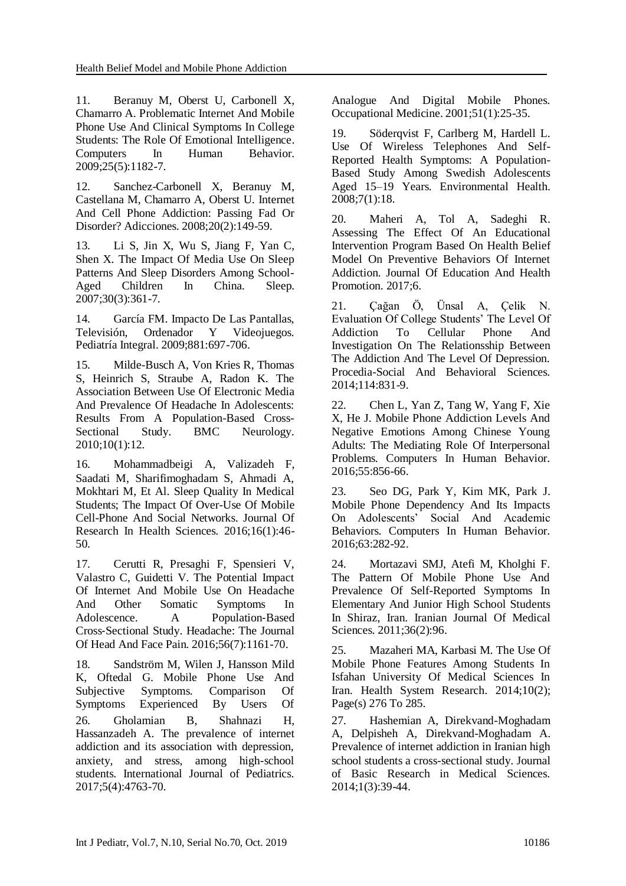11. Beranuy M, Oberst U, Carbonell X, Chamarro A. Problematic Internet And Mobile Phone Use And Clinical Symptoms In College Students: The Role Of Emotional Intelligence. Computers In Human Behavior. 2009;25(5):1182-7.

12. Sanchez-Carbonell X, Beranuy M, Castellana M, Chamarro A, Oberst U. Internet And Cell Phone Addiction: Passing Fad Or Disorder? Adicciones. 2008;20(2):149-59.

13. Li S, Jin X, Wu S, Jiang F, Yan C, Shen X. The Impact Of Media Use On Sleep Patterns And Sleep Disorders Among School-Aged Children In China. Sleep. 2007;30(3):361-7.

14. García FM. Impacto De Las Pantallas, Televisión, Ordenador Y Videojuegos. Pediatría Integral. 2009;881:697-706.

<span id="page-11-0"></span>15. Milde-Busch A, Von Kries R, Thomas S, Heinrich S, Straube A, Radon K. The Association Between Use Of Electronic Media And Prevalence Of Headache In Adolescents: Results From A Population-Based Cross-Sectional Study. BMC Neurology. 2010;10(1):12.

<span id="page-11-1"></span>16. Mohammadbeigi A, Valizadeh F, Saadati M, Sharifimoghadam S, Ahmadi A, Mokhtari M, Et Al. Sleep Quality In Medical Students; The Impact Of Over-Use Of Mobile Cell-Phone And Social Networks. Journal Of Research In Health Sciences. 2016;16(1):46- 50.

<span id="page-11-2"></span>17. Cerutti R, Presaghi F, Spensieri V, Valastro C, Guidetti V. The Potential Impact Of Internet And Mobile Use On Headache And Other Somatic Symptoms In Adolescence. A Population-Based Cross‑Sectional Study. Headache: The Journal Of Head And Face Pain. 2016;56(7):1161-70.

18. Sandström M, Wilen J, Hansson Mild K, Oftedal G. Mobile Phone Use And Subjective Symptoms. Comparison Of Symptoms Experienced By Users Of 26. Gholamian B, Shahnazi H, Hassanzadeh A. The prevalence of internet addiction and its association with depression, anxiety, and stress, among high-school students. International Journal of Pediatrics. 2017;5(4):4763-70.

Analogue And Digital Mobile Phones. Occupational Medicine. 2001;51(1):25-35.

19. Söderqvist F, Carlberg M, Hardell L. Use Of Wireless Telephones And Self-Reported Health Symptoms: A Population-Based Study Among Swedish Adolescents Aged 15–19 Years. Environmental Health. 2008;7(1):18.

<span id="page-11-7"></span>20. Maheri A, Tol A, Sadeghi R. Assessing The Effect Of An Educational Intervention Program Based On Health Belief Model On Preventive Behaviors Of Internet Addiction. Journal Of Education And Health Promotion. 2017;6.

21. Çağan Ö, Ünsal A, Çelik N. Evaluation Of College Students' The Level Of Addiction To Cellular Phone And Investigation On The Relationsship Between The Addiction And The Level Of Depression. Procedia-Social And Behavioral Sciences. 2014;114:831-9.

22. Chen L, Yan Z, Tang W, Yang F, Xie X, He J. Mobile Phone Addiction Levels And Negative Emotions Among Chinese Young Adults: The Mediating Role Of Interpersonal Problems. Computers In Human Behavior. 2016;55:856-66.

23. Seo DG, Park Y, Kim MK, Park J. Mobile Phone Dependency And Its Impacts On Adolescents' Social And Academic Behaviors. Computers In Human Behavior. 2016;63:282-92.

24. Mortazavi SMJ, Atefi M, Kholghi F. The Pattern Of Mobile Phone Use And Prevalence Of Self-Reported Symptoms In Elementary And Junior High School Students In Shiraz, Iran. Iranian Journal Of Medical Sciences. 2011;36(2):96.

<span id="page-11-3"></span>25. Mazaheri MA, Karbasi M. The Use Of Mobile Phone Features Among Students In Isfahan University Of Medical Sciences In Iran. [Health System Research.](https://www.sid.ir/en/journal/JournalList.aspx?ID=13821) [2014;10\(2\)](https://www.sid.ir/en/journal/JournalListPaper.aspx?ID=196849); Page(s) 276 To 285.

<span id="page-11-6"></span><span id="page-11-5"></span><span id="page-11-4"></span>27. Hashemian A, Direkvand-Moghadam A, Delpisheh A, Direkvand-Moghadam A. Prevalence of internet addiction in Iranian high school students a cross-sectional study. Journal of Basic Research in Medical Sciences. 2014;1(3):39-44.